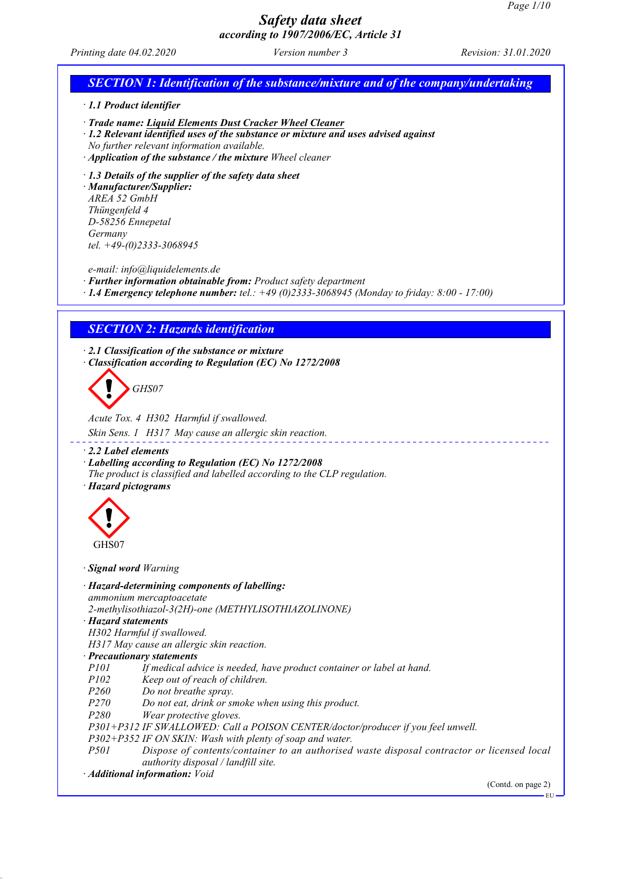|                                                                                                                                                                                         |                                                                                                                                                                                                                           | Page 1/10            |
|-----------------------------------------------------------------------------------------------------------------------------------------------------------------------------------------|---------------------------------------------------------------------------------------------------------------------------------------------------------------------------------------------------------------------------|----------------------|
|                                                                                                                                                                                         | <b>Safety data sheet</b><br>according to 1907/2006/EC, Article 31                                                                                                                                                         |                      |
| Printing date 04.02.2020                                                                                                                                                                | Version number 3                                                                                                                                                                                                          | Revision: 31.01.2020 |
|                                                                                                                                                                                         | <b>SECTION 1: Identification of the substance/mixture and of the company/undertaking</b>                                                                                                                                  |                      |
| $\cdot$ 1.1 Product identifier                                                                                                                                                          |                                                                                                                                                                                                                           |                      |
| No further relevant information available.                                                                                                                                              | · Trade name: Liquid Elements Dust Cracker Wheel Cleaner<br>$\cdot$ 1.2 Relevant identified uses of the substance or mixture and uses advised against<br>$\cdot$ Application of the substance / the mixture Wheel cleaner |                      |
| $\cdot$ 1.3 Details of the supplier of the safety data sheet<br>· Manufacturer/Supplier:<br>AREA 52 GmbH<br>Thüngenfeld 4<br>D-58256 Ennepetal<br>Germany<br>tel. $+49-(0)2333-3068945$ |                                                                                                                                                                                                                           |                      |
| e-mail: info@liquidelements.de                                                                                                                                                          | · Further information obtainable from: Product safety department<br>$\cdot$ 1.4 Emergency telephone number: tel.: +49 (0)2333-3068945 (Monday to friday: 8:00 - 17:00)                                                    |                      |
| <b>SECTION 2: Hazards identification</b>                                                                                                                                                |                                                                                                                                                                                                                           |                      |
| $\cdot$ 2.1 Classification of the substance or mixture                                                                                                                                  |                                                                                                                                                                                                                           |                      |
| GHS07                                                                                                                                                                                   | Classification according to Regulation (EC) No 1272/2008                                                                                                                                                                  |                      |
| Acute Tox. 4 H302 Harmful if swallowed.                                                                                                                                                 | Skin Sens. 1 H317 May cause an allergic skin reaction.                                                                                                                                                                    |                      |
| $\cdot$ 2.2 Label elements<br>· Hazard pictograms                                                                                                                                       | · Labelling according to Regulation (EC) No 1272/2008<br>The product is classified and labelled according to the CLP regulation.                                                                                          |                      |
| GHS07                                                                                                                                                                                   |                                                                                                                                                                                                                           |                      |
| · Signal word Warning                                                                                                                                                                   |                                                                                                                                                                                                                           |                      |
| · Hazard-determining components of labelling:<br>ammonium mercaptoacetate<br>· Hazard statements                                                                                        | 2-methylisothiazol-3(2H)-one (METHYLISOTHIAZOLINONE)                                                                                                                                                                      |                      |

*H302 Harmful if swallowed.*

*H317 May cause an allergic skin reaction.*

*· Precautionary statements*

If medical advice is needed, have product container or label at hand.

*P102 Keep out of reach of children.*

*P260 Do not breathe spray.*

*P270 Do not eat, drink or smoke when using this product.*

*P280 Wear protective gloves.*

*P301+P312 IF SWALLOWED: Call a POISON CENTER/doctor/producer if you feel unwell.*

*P302+P352 IF ON SKIN: Wash with plenty of soap and water.*

*Pispose of contents/container to an authorised waste disposal contractor or licensed local authority disposal / landfill site.*

*· Additional information: Void*

(Contd. on page 2) EU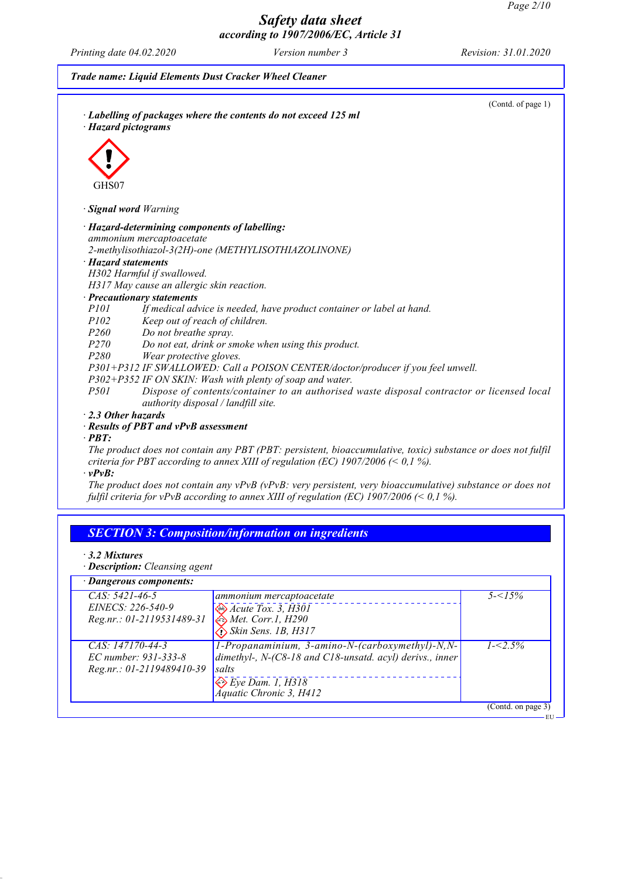٦

٦

# *Safety data sheet according to 1907/2006/EC, Article 31*

*Printing date 04.02.2020 Version number 3 Revision: 31.01.2020*

|                  | (Contd. of page 1)<br>· Labelling of packages where the contents do not exceed 125 ml<br>· Hazard pictograms                      |
|------------------|-----------------------------------------------------------------------------------------------------------------------------------|
|                  |                                                                                                                                   |
|                  |                                                                                                                                   |
|                  |                                                                                                                                   |
| GHS07            |                                                                                                                                   |
|                  |                                                                                                                                   |
|                  | · Signal word Warning                                                                                                             |
|                  | · Hazard-determining components of labelling:                                                                                     |
|                  | ammonium mercaptoacetate                                                                                                          |
|                  | 2-methylisothiazol-3(2H)-one (METHYLISOTHIAZOLINONE)                                                                              |
|                  | · Hazard statements                                                                                                               |
|                  | H302 Harmful if swallowed.                                                                                                        |
|                  | H317 May cause an allergic skin reaction.                                                                                         |
|                  | · Precautionary statements                                                                                                        |
| P101             | If medical advice is needed, have product container or label at hand.                                                             |
| P102             | Keep out of reach of children.                                                                                                    |
| P <sub>260</sub> | Do not breathe spray.                                                                                                             |
| P270             | Do not eat, drink or smoke when using this product.                                                                               |
| P280             | Wear protective gloves.                                                                                                           |
|                  | P301+P312 IF SWALLOWED: Call a POISON CENTER/doctor/producer if you feel unwell.                                                  |
|                  | P302+P352 IF ON SKIN: Wash with plenty of soap and water.                                                                         |
| P <sub>501</sub> | Dispose of contents/container to an authorised waste disposal contractor or licensed local<br>authority disposal / landfill site. |
|                  | 2.3 Other hazards                                                                                                                 |
|                  | · Results of PBT and vPvB assessment                                                                                              |
| $\cdot$ PBT:     |                                                                                                                                   |
|                  | The product does not contain any PBT (PBT: persistent, bioaccumulative, toxic) substance or does not fulfil                       |
|                  | criteria for PBT according to annex XIII of regulation (EC) $1907/2006 \le 0.1\%$ ).                                              |
| $\cdot$ vPvB:    |                                                                                                                                   |
|                  | The product does not contain any $vPvB$ ( $vPvB$ : very persistent, very bioaccumulative) substance or does not                   |
|                  | fulfil criteria for vPvB according to annex XIII of regulation (EC) 1907/2006 (< 0,1 %).                                          |

## *SECTION 3: Composition/information on ingredients*

*· 3.2 Mixtures*

*· Description: Cleansing agent*

## *· Dangerous components:*

| Dungerous components.<br>$CAS: 5421-46-5$<br>EINECS: 226-540-9<br>Reg.nr.: 01-2119531489-31 | ammonium mercaptoacetate<br>$\bigotimes$ Acute Tox. 3, H301<br><b>&amp;</b> Met. Corr.1, H290<br>$\bigotimes$ Skin Sens. 1B, H317                                                           | $5 - 5\%$          |
|---------------------------------------------------------------------------------------------|---------------------------------------------------------------------------------------------------------------------------------------------------------------------------------------------|--------------------|
| $CAS: 147170-44-3$<br>$EC$ number: 931-333-8<br>Reg.nr.: 01-2119489410-39                   | $1$ -Propanaminium, 3-amino-N-(carboxymethyl)-N,N-<br>dimethyl-, $N-(C8-18$ and $C18$ -unsatd. acyl) derivs., inner<br>salts<br>$\bigotimes E$ ye Dam. 1, $H318$<br>Aquatic Chronic 3, H412 | $1 - 2.5\%$        |
|                                                                                             |                                                                                                                                                                                             | (Contd. on page 3) |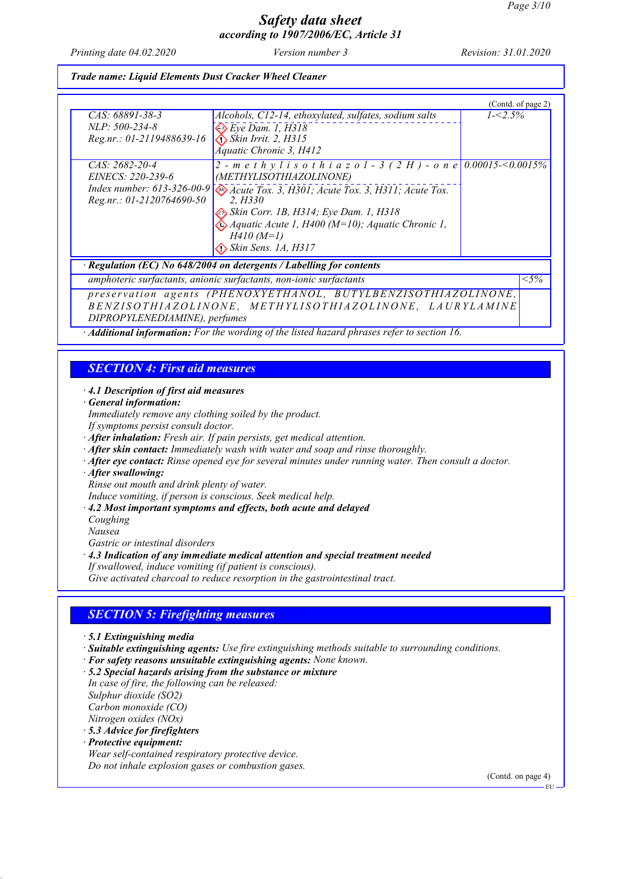*Printing date 04.02.2020 Version number 3 Revision: 31.01.2020*

### *Trade name: Liquid Elements Dust Cracker Wheel Cleaner*

|                                                         |                                                                      | (Contd. of page 2) |         |
|---------------------------------------------------------|----------------------------------------------------------------------|--------------------|---------|
| CAS: 68891-38-3                                         | Alcohols, C12-14, ethoxylated, sulfates, sodium salts                | $1 - 2.5\%$        |         |
| $NLP: 500-234-8$                                        | $\Leftrightarrow$ Eye Dam. 1, H318                                   |                    |         |
| Reg.nr.: 01-2119488639-16                               | $\bigotimes$ Skin Irrit. 2, H315                                     |                    |         |
|                                                         | <b>Áquatic Chronic 3, H412</b>                                       |                    |         |
| CAS: 2682-20-4                                          | 2 - methylisothiazol - 3 (2 H) - one 0.00015-<0.0015%                |                    |         |
|                                                         |                                                                      |                    |         |
| EINECS: 220-239-6                                       | (METHYLISOTHIAZOLINONE)                                              |                    |         |
| Index number: $613 - 326 - 00 - 9$                      | Acute Tox. 3, H301; Acute Tox. 3, H311; Acute Tox.                   |                    |         |
| $Reg.nr.: 01-2120764690-50$                             | 2. H330                                                              |                    |         |
|                                                         | Skin Corr. 1B, H314; Eye Dam. 1, H318                                |                    |         |
|                                                         | $\bigotimes$ Aquatic Acute 1, H400 (M=10); Aquatic Chronic 1,        |                    |         |
|                                                         | $H410(M=1)$                                                          |                    |         |
|                                                         | $\bigodot$ Skin Sens. 1A, H317                                       |                    |         |
|                                                         | · Regulation (EC) No 648/2004 on detergents / Labelling for contents |                    |         |
|                                                         | amphoteric surfactants, anionic surfactants, non-ionic surfactants   |                    | $< 5\%$ |
|                                                         | preservation agents (PHENOXYETHANOL, BUTYLBENZISOTHIAZOLINONE,       |                    |         |
| BENZISOTHIAZOLINONE, METHYLISOTHIAZOLINONE, LAURYLAMINE |                                                                      |                    |         |
|                                                         |                                                                      |                    |         |
| DIPROPYLENEDIAMINE), perfumes                           |                                                                      |                    |         |

*· Additional information: For the wording of the listed hazard phrases refer to section 16.*

## *SECTION 4: First aid measures*

### *· 4.1 Description of first aid measures*

- *· General information:*
- *Immediately remove any clothing soiled by the product.*
- *If symptoms persist consult doctor.*
- *· After inhalation: Fresh air. If pain persists, get medical attention.*
- *· After skin contact: Immediately wash with water and soap and rinse thoroughly.*
- *· After eye contact: Rinse opened eye for several minutes under running water. Then consult a doctor.*
- *· After swallowing:*

*Rinse out mouth and drink plenty of water.*

- *Induce vomiting, if person is conscious. Seek medical help.*
- *· 4.2 Most important symptoms and effects, both acute and delayed*

*Coughing*

*Nausea*

*Gastric or intestinal disorders*

*· 4.3 Indication of any immediate medical attention and special treatment needed*

*If swallowed, induce vomiting (if patient is conscious).*

*Give activated charcoal to reduce resorption in the gastrointestinal tract.*

## *SECTION 5: Firefighting measures*

- *· 5.1 Extinguishing media*
- *· Suitable extinguishing agents: Use fire extinguishing methods suitable to surrounding conditions.*
- *· For safety reasons unsuitable extinguishing agents: None known.*
- *· 5.2 Special hazards arising from the substance or mixture*
- *In case of fire, the following can be released: Sulphur dioxide (SO2) Carbon monoxide (CO) Nitrogen oxides (NOx)*
- *· 5.3 Advice for firefighters*
- *· Protective equipment: Wear self-contained respiratory protective device.*

*Do not inhale explosion gases or combustion gases.*

(Contd. on page 4)

EU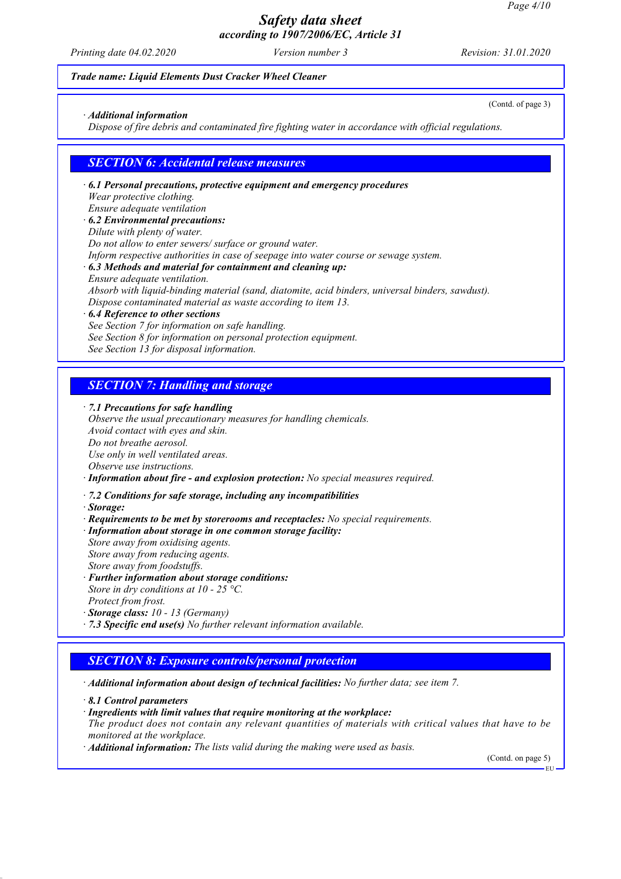*Printing date 04.02.2020 Version number 3 Revision: 31.01.2020*

(Contd. of page 3)

#### *Trade name: Liquid Elements Dust Cracker Wheel Cleaner*

#### *· Additional information*

*Dispose of fire debris and contaminated fire fighting water in accordance with official regulations.*

### *SECTION 6: Accidental release measures*

- *· 6.1 Personal precautions, protective equipment and emergency procedures Wear protective clothing. Ensure adequate ventilation · 6.2 Environmental precautions: Dilute with plenty of water. Do not allow to enter sewers/ surface or ground water. Inform respective authorities in case of seepage into water course or sewage system. · 6.3 Methods and material for containment and cleaning up: Ensure adequate ventilation. Absorb with liquid-binding material (sand, diatomite, acid binders, universal binders, sawdust). Dispose contaminated material as waste according to item 13. · 6.4 Reference to other sections*
- *See Section 7 for information on safe handling. See Section 8 for information on personal protection equipment. See Section 13 for disposal information.*

### *SECTION 7: Handling and storage*

*· 7.1 Precautions for safe handling*

*Observe the usual precautionary measures for handling chemicals. Avoid contact with eyes and skin. Do not breathe aerosol. Use only in well ventilated areas. Observe use instructions. · Information about fire - and explosion protection: No special measures required.*

- *· 7.2 Conditions for safe storage, including any incompatibilities*
- *· Storage:*
- *· Requirements to be met by storerooms and receptacles: No special requirements.*

*· Information about storage in one common storage facility:*

*Store away from oxidising agents. Store away from reducing agents. Store away from foodstuffs.*

- *· Further information about storage conditions:*
- *Store in dry conditions at 10 25 °C. Protect from frost.*
- *· Storage class: 10 13 (Germany)*
- *· 7.3 Specific end use(s) No further relevant information available.*

## *SECTION 8: Exposure controls/personal protection*

*· Additional information about design of technical facilities: No further data; see item 7.*

- *· 8.1 Control parameters*
- *· Ingredients with limit values that require monitoring at the workplace:*
- *The product does not contain any relevant quantities of materials with critical values that have to be monitored at the workplace.*
- *· Additional information: The lists valid during the making were used as basis.*

(Contd. on page 5)

EU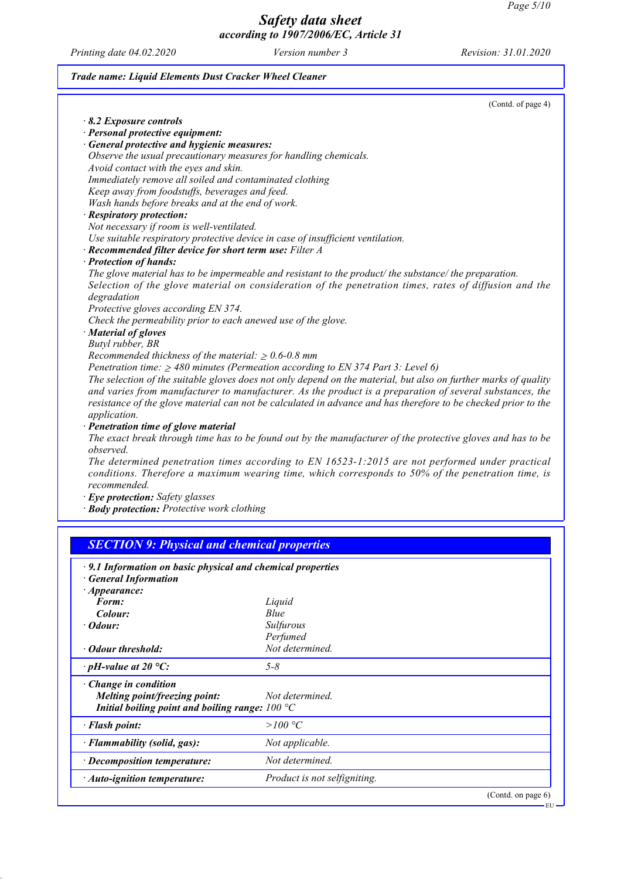EU

# *Safety data sheet according to 1907/2006/EC, Article 31*

*Printing date 04.02.2020 Version number 3 Revision: 31.01.2020*

## *Trade name: Liquid Elements Dust Cracker Wheel Cleaner*

|                                                                | (Contd. of page 4)                                                                                                                                                                                                                                                                                                                            |
|----------------------------------------------------------------|-----------------------------------------------------------------------------------------------------------------------------------------------------------------------------------------------------------------------------------------------------------------------------------------------------------------------------------------------|
| $\cdot$ 8.2 Exposure controls                                  |                                                                                                                                                                                                                                                                                                                                               |
| · Personal protective equipment:                               |                                                                                                                                                                                                                                                                                                                                               |
| · General protective and hygienic measures:                    |                                                                                                                                                                                                                                                                                                                                               |
|                                                                | Observe the usual precautionary measures for handling chemicals.                                                                                                                                                                                                                                                                              |
| Avoid contact with the eyes and skin.                          |                                                                                                                                                                                                                                                                                                                                               |
| Immediately remove all soiled and contaminated clothing        |                                                                                                                                                                                                                                                                                                                                               |
| Keep away from foodstuffs, beverages and feed.                 |                                                                                                                                                                                                                                                                                                                                               |
| Wash hands before breaks and at the end of work.               |                                                                                                                                                                                                                                                                                                                                               |
| · Respiratory protection:                                      |                                                                                                                                                                                                                                                                                                                                               |
| Not necessary if room is well-ventilated.                      |                                                                                                                                                                                                                                                                                                                                               |
|                                                                | Use suitable respiratory protective device in case of insufficient ventilation.                                                                                                                                                                                                                                                               |
| $\cdot$ Recommended filter device for short term use: Filter A |                                                                                                                                                                                                                                                                                                                                               |
| · Protection of hands:                                         |                                                                                                                                                                                                                                                                                                                                               |
|                                                                | The glove material has to be impermeable and resistant to the product/the substance/the preparation.                                                                                                                                                                                                                                          |
|                                                                | Selection of the glove material on consideration of the penetration times, rates of diffusion and the                                                                                                                                                                                                                                         |
| degradation                                                    |                                                                                                                                                                                                                                                                                                                                               |
| Protective gloves according EN 374.                            |                                                                                                                                                                                                                                                                                                                                               |
| Check the permeability prior to each anewed use of the glove.  |                                                                                                                                                                                                                                                                                                                                               |
| · Material of gloves                                           |                                                                                                                                                                                                                                                                                                                                               |
| Butyl rubber, BR                                               |                                                                                                                                                                                                                                                                                                                                               |
| Recommended thickness of the material: $\geq 0.6$ -0.8 mm      |                                                                                                                                                                                                                                                                                                                                               |
|                                                                | Penetration time: $\geq$ 480 minutes (Permeation according to EN 374 Part 3: Level 6)                                                                                                                                                                                                                                                         |
| application.                                                   | The selection of the suitable gloves does not only depend on the material, but also on further marks of quality<br>and varies from manufacturer to manufacturer. As the product is a preparation of several substances, the<br>resistance of the glove material can not be calculated in advance and has therefore to be checked prior to the |
| · Penetration time of glove material                           |                                                                                                                                                                                                                                                                                                                                               |
| observed.                                                      | The exact break through time has to be found out by the manufacturer of the protective gloves and has to be                                                                                                                                                                                                                                   |
| recommended.                                                   | The determined penetration times according to EN 16523-1:2015 are not performed under practical<br>conditions. Therefore a maximum wearing time, which corresponds to 50% of the penetration time, is                                                                                                                                         |
|                                                                |                                                                                                                                                                                                                                                                                                                                               |
| · Eye protection: Safety glasses                               | · Body protection: Protective work clothing                                                                                                                                                                                                                                                                                                   |

| 211 Information on ousle physical and enemied properties<br>· General Information |                              |
|-----------------------------------------------------------------------------------|------------------------------|
| $\cdot$ Appearance:                                                               |                              |
| Form:                                                                             | Liquid                       |
| Colour:                                                                           | Blue                         |
| $\cdot$ Odour:                                                                    | Sulfurous                    |
|                                                                                   | Perfumed                     |
| • Odour threshold:                                                                | Not determined.              |
| $\cdot$ pH-value at 20 °C:                                                        | $5 - 8$                      |
| $\cdot$ Change in condition                                                       |                              |
| Melting point/freezing point:                                                     | Not determined.              |
| Initial boiling point and boiling range: $100^{\circ}$ C                          |                              |
| · Flash point:                                                                    | >100 °C                      |
| · Flammability (solid, gas):                                                      | Not applicable.              |
| $\cdot$ Decomposition temperature:                                                | Not determined.              |
| $\cdot$ Auto-ignition temperature:                                                | Product is not selfigniting. |
|                                                                                   | (Contd. on page $6$ )        |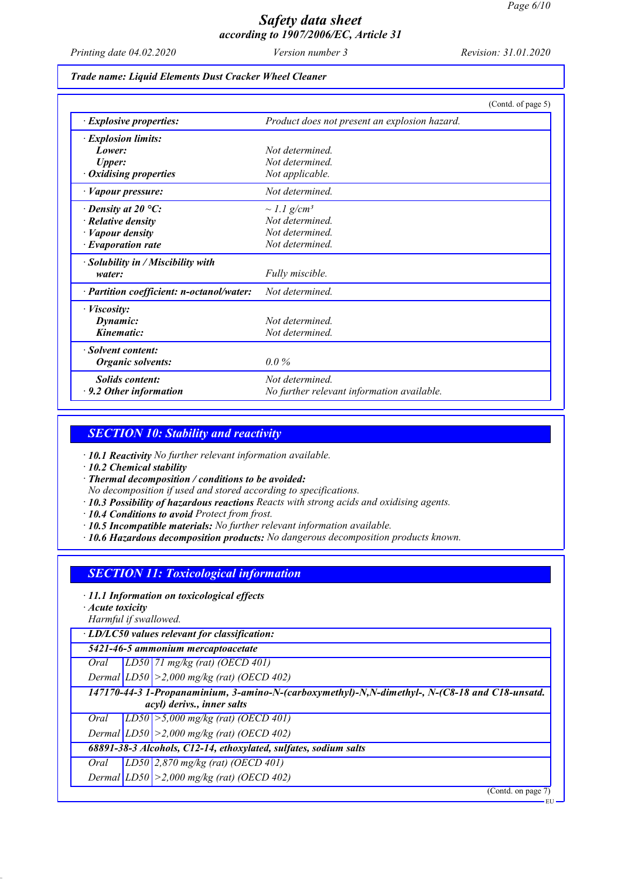*Printing date 04.02.2020 Version number 3 Revision: 31.01.2020*

#### *Trade name: Liquid Elements Dust Cracker Wheel Cleaner*

|                                           | (Contd. of page 5)                            |
|-------------------------------------------|-----------------------------------------------|
| $\cdot$ Explosive properties:             | Product does not present an explosion hazard. |
| $\cdot$ Explosion limits:                 |                                               |
| Lower:                                    | Not determined                                |
| <b>Upper:</b>                             | Not determined                                |
| $\cdot$ Oxidising properties              | Not applicable.                               |
| · Vapour pressure:                        | Not determined.                               |
| $\cdot$ Density at 20 °C:                 | $\sim$ 1.1 g/cm <sup>3</sup>                  |
| $\cdot$ Relative density                  | Not determined.                               |
| · Vapour density                          | Not determined.                               |
| $\cdot$ Evaporation rate                  | Not determined                                |
| · Solubility in / Miscibility with        |                                               |
| water:                                    | Fully miscible.                               |
| · Partition coefficient: n-octanol/water: | Not determined                                |
| $\cdot$ <i>Viscosity:</i>                 |                                               |
| Dynamic:                                  | Not determined                                |
| Kinematic:                                | Not determined                                |
| · Solvent content:                        |                                               |
| <b>Organic solvents:</b>                  | $0.0\%$                                       |
| <b>Solids content:</b>                    | Not determined                                |
| $\cdot$ 9.2 Other information             | No further relevant information available.    |

### *SECTION 10: Stability and reactivity*

*· 10.1 Reactivity No further relevant information available.*

*· 10.2 Chemical stability*

*· Thermal decomposition / conditions to be avoided:*

*No decomposition if used and stored according to specifications.*

*· 10.3 Possibility of hazardous reactions Reacts with strong acids and oxidising agents.*

*· 10.4 Conditions to avoid Protect from frost.*

- *· 10.5 Incompatible materials: No further relevant information available.*
- *· 10.6 Hazardous decomposition products: No dangerous decomposition products known.*

### *SECTION 11: Toxicological information*

*· 11.1 Information on toxicological effects*

*· Acute toxicity*

*Harmful if swallowed.*

*· LD/LC50 values relevant for classification:*

*5421-46-5 ammonium mercaptoacetate*

*Oral LD50 71 mg/kg (rat) (OECD 401)*

*Dermal LD50 >2,000 mg/kg (rat) (OECD 402)*

*147170-44-3 1-Propanaminium, 3-amino-N-(carboxymethyl)-N,N-dimethyl-, N-(C8-18 and C18-unsatd. acyl) derivs., inner salts*

*Oral LD50 >5,000 mg/kg (rat) (OECD 401)*

*Dermal LD50 >2,000 mg/kg (rat) (OECD 402)*

*68891-38-3 Alcohols, C12-14, ethoxylated, sulfates, sodium salts*

*Oral LD50 2,870 mg/kg (rat) (OECD 401)*

*Dermal LD50 >2,000 mg/kg (rat) (OECD 402)*

(Contd. on page 7)

EU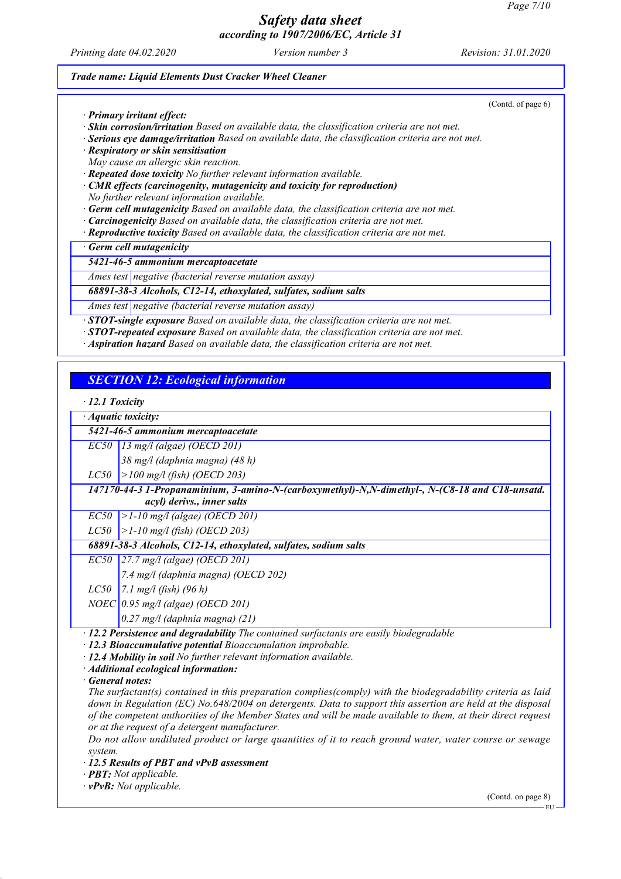*Printing date 04.02.2020 Version number 3 Revision: 31.01.2020*

(Contd. of page 6)

#### *Trade name: Liquid Elements Dust Cracker Wheel Cleaner*

*· Primary irritant effect:*

*· Skin corrosion/irritation Based on available data, the classification criteria are not met.*

*· Serious eye damage/irritation Based on available data, the classification criteria are not met.*

*· Respiratory or skin sensitisation*

*May cause an allergic skin reaction.*

*· Repeated dose toxicity No further relevant information available.*

*· CMR effects (carcinogenity, mutagenicity and toxicity for reproduction) No further relevant information available.*

*· Germ cell mutagenicity Based on available data, the classification criteria are not met.*

*· Carcinogenicity Based on available data, the classification criteria are not met.*

*· Reproductive toxicity Based on available data, the classification criteria are not met.*

*· Germ cell mutagenicity*

*5421-46-5 ammonium mercaptoacetate*

*Ames test negative (bacterial reverse mutation assay)*

*68891-38-3 Alcohols, C12-14, ethoxylated, sulfates, sodium salts*

*Ames test negative (bacterial reverse mutation assay)*

*· STOT-single exposure Based on available data, the classification criteria are not met.*

*· STOT-repeated exposure Based on available data, the classification criteria are not met.*

*· Aspiration hazard Based on available data, the classification criteria are not met.*

## *SECTION 12: Ecological information*

#### *· 12.1 Toxicity*

*· Aquatic toxicity:*

*5421-46-5 ammonium mercaptoacetate*

*EC50 13 mg/l (algae) (OECD 201)*

*38 mg/l (daphnia magna) (48 h)*

*LC50 >100 mg/l (fish) (OECD 203)*

*147170-44-3 1-Propanaminium, 3-amino-N-(carboxymethyl)-N,N-dimethyl-, N-(C8-18 and C18-unsatd. acyl) derivs., inner salts*

*EC50 >1-10 mg/l (algae) (OECD 201)*

*LC50 >1-10 mg/l (fish) (OECD 203)*

*68891-38-3 Alcohols, C12-14, ethoxylated, sulfates, sodium salts*

*EC50 27.7 mg/l (algae) (OECD 201)*

*7.4 mg/l (daphnia magna) (OECD 202)*

*LC50 7.1 mg/l (fish) (96 h)*

*NOEC 0.95 mg/l (algae) (OECD 201)*

*0.27 mg/l (daphnia magna) (21)*

*· 12.2 Persistence and degradability The contained surfactants are easily biodegradable*

*· 12.3 Bioaccumulative potential Bioaccumulation improbable.*

*· 12.4 Mobility in soil No further relevant information available.*

*· Additional ecological information:*

*· General notes:*

*The surfactant(s) contained in this preparation complies(comply) with the biodegradability criteria as laid down in Regulation (EC) No.648/2004 on detergents. Data to support this assertion are held at the disposal of the competent authorities of the Member States and will be made available to them, at their direct request or at the request of a detergent manufacturer.*

*Do not allow undiluted product or large quantities of it to reach ground water, water course or sewage system.*

*· 12.5 Results of PBT and vPvB assessment*

*· PBT: Not applicable.*

*· vPvB: Not applicable.*

(Contd. on page 8)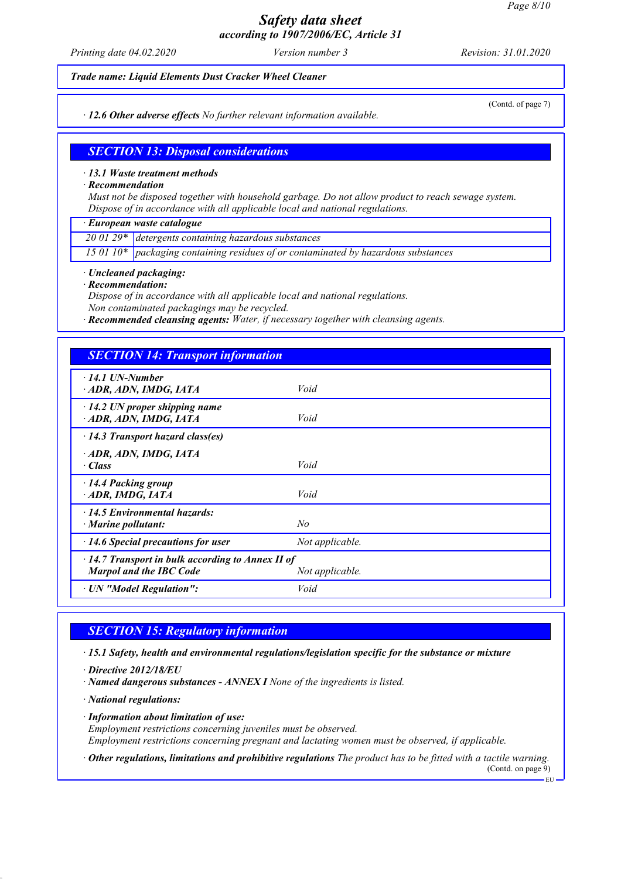*Printing date 04.02.2020 Version number 3 Revision: 31.01.2020*

*Trade name: Liquid Elements Dust Cracker Wheel Cleaner*

*· 12.6 Other adverse effects No further relevant information available.*

(Contd. of page 7)

EU

### *SECTION 13: Disposal considerations*

#### *· 13.1 Waste treatment methods*

*· Recommendation*

*Must not be disposed together with household garbage. Do not allow product to reach sewage system. Dispose of in accordance with all applicable local and national regulations.*

*· European waste catalogue*

*20 01 29\* detergents containing hazardous substances*

*15 01 10\* packaging containing residues of or contaminated by hazardous substances*

*· Uncleaned packaging:*

*· Recommendation:*

*Dispose of in accordance with all applicable local and national regulations. Non contaminated packagings may be recycled.*

*· Recommended cleansing agents: Water, if necessary together with cleansing agents.*

## *SECTION 14: Transport information*

| $\cdot$ 14.1 UN-Number<br>ADR, ADN, IMDG, IATA                                            | Void            |
|-------------------------------------------------------------------------------------------|-----------------|
| $\cdot$ 14.2 UN proper shipping name<br>ADR, ADN, IMDG, IATA                              | Void            |
| $\cdot$ 14.3 Transport hazard class(es)                                                   |                 |
| ADR, ADN, IMDG, IATA<br>· Class                                                           | Void            |
| 14.4 Packing group<br>ADR, IMDG, IATA                                                     | Void            |
| $\cdot$ 14.5 Environmental hazards:<br>· Marine pollutant:                                | No              |
| $\cdot$ 14.6 Special precautions for user                                                 | Not applicable. |
| $\cdot$ 14.7 Transport in bulk according to Annex II of<br><b>Marpol and the IBC Code</b> | Not applicable. |
| · UN "Model Regulation":                                                                  | Void            |

### *SECTION 15: Regulatory information*

*· 15.1 Safety, health and environmental regulations/legislation specific for the substance or mixture*

- *· Directive 2012/18/EU*
- *· Named dangerous substances ANNEX I None of the ingredients is listed.*
- *· National regulations:*
- *· Information about limitation of use: Employment restrictions concerning juveniles must be observed. Employment restrictions concerning pregnant and lactating women must be observed, if applicable.*
- *· Other regulations, limitations and prohibitive regulations The product has to be fitted with a tactile warning.* (Contd. on page 9)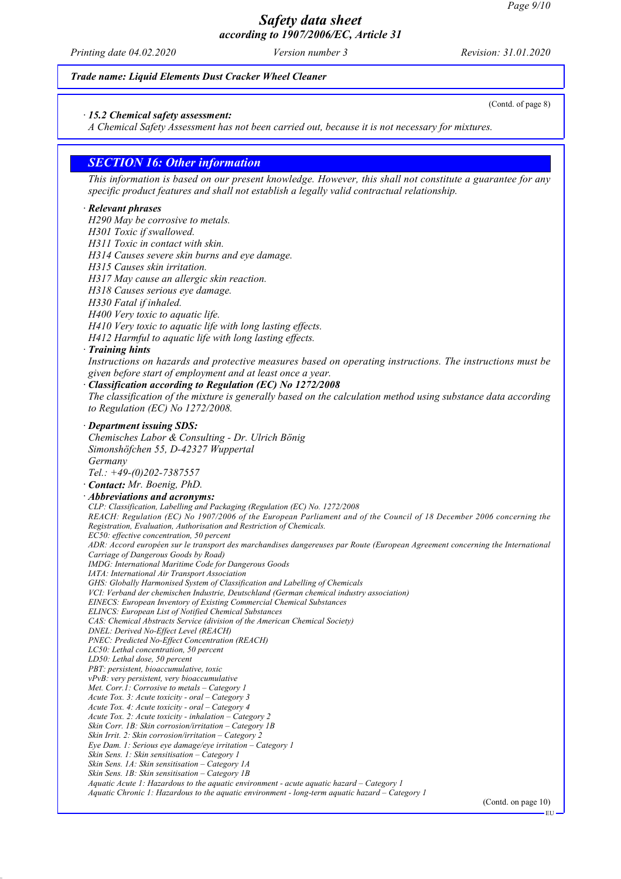*Printing date 04.02.2020 Version number 3 Revision: 31.01.2020*

(Contd. of page 8)

#### *Trade name: Liquid Elements Dust Cracker Wheel Cleaner*

*· 15.2 Chemical safety assessment:*

*A Chemical Safety Assessment has not been carried out, because it is not necessary for mixtures.*

### *SECTION 16: Other information*

*This information is based on our present knowledge. However, this shall not constitute a guarantee for any specific product features and shall not establish a legally valid contractual relationship.*

#### *· Relevant phrases*

*H290 May be corrosive to metals.*

- *H301 Toxic if swallowed.*
- *H311 Toxic in contact with skin.*
- *H314 Causes severe skin burns and eye damage.*
- *H315 Causes skin irritation.*
- *H317 May cause an allergic skin reaction.*
- *H318 Causes serious eye damage.*
- *H330 Fatal if inhaled.*
- *H400 Very toxic to aquatic life.*
- *H410 Very toxic to aquatic life with long lasting effects.*
- *H412 Harmful to aquatic life with long lasting effects.*

#### *· Training hints*

*Instructions on hazards and protective measures based on operating instructions. The instructions must be given before start of employment and at least once a year.*

#### *· Classification according to Regulation (EC) No 1272/2008*

*The classification of the mixture is generally based on the calculation method using substance data according to Regulation (EC) No 1272/2008.*

#### *· Department issuing SDS:*

*Chemisches Labor & Consulting - Dr. Ulrich Bönig Simonshöfchen 55, D-42327 Wuppertal Germany Tel.: +49-(0)202-7387557*

# *· Contact: Mr. Boenig, PhD.*

*· Abbreviations and acronyms: CLP: Classification, Labelling and Packaging (Regulation (EC) No. 1272/2008 REACH: Regulation (EC) No 1907/2006 of the European Parliament and of the Council of 18 December 2006 concerning the Registration, Evaluation, Authorisation and Restriction of Chemicals. EC50: effective concentration, 50 percent ADR: Accord européen sur le transport des marchandises dangereuses par Route (European Agreement concerning the International Carriage of Dangerous Goods by Road) IMDG: International Maritime Code for Dangerous Goods IATA: International Air Transport Association GHS: Globally Harmonised System of Classification and Labelling of Chemicals VCI: Verband der chemischen Industrie, Deutschland (German chemical industry association) EINECS: European Inventory of Existing Commercial Chemical Substances ELINCS: European List of Notified Chemical Substances CAS: Chemical Abstracts Service (division of the American Chemical Society) DNEL: Derived No-Effect Level (REACH) PNEC: Predicted No-Effect Concentration (REACH) LC50: Lethal concentration, 50 percent LD50: Lethal dose, 50 percent PBT: persistent, bioaccumulative, toxic vPvB: very persistent, very bioaccumulative Met. Corr.1: Corrosive to metals – Category 1 Acute Tox. 3: Acute toxicity - oral – Category 3 Acute Tox. 4: Acute toxicity - oral – Category 4 Acute Tox. 2: Acute toxicity - inhalation – Category 2 Skin Corr. 1B: Skin corrosion/irritation – Category 1B Skin Irrit. 2: Skin corrosion/irritation – Category 2 Eye Dam. 1: Serious eye damage/eye irritation – Category 1 Skin Sens. 1: Skin sensitisation – Category 1 Skin Sens. 1A: Skin sensitisation – Category 1A Skin Sens. 1B: Skin sensitisation – Category 1B Aquatic Acute 1: Hazardous to the aquatic environment - acute aquatic hazard – Category 1 Aquatic Chronic 1: Hazardous to the aquatic environment - long-term aquatic hazard – Category 1*